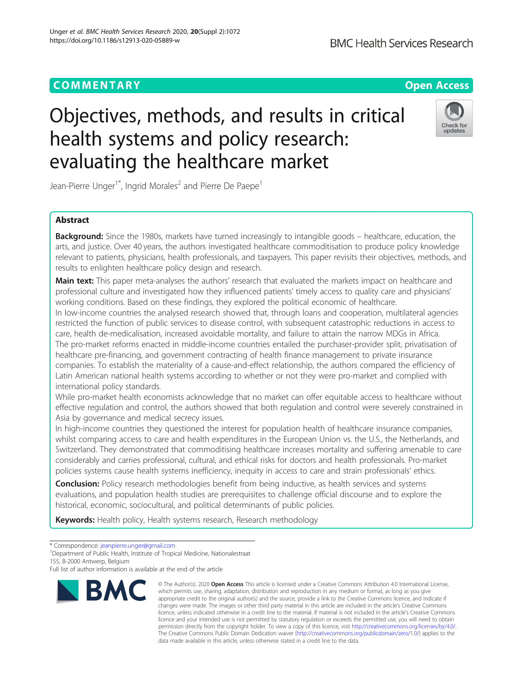# Objectives, methods, and results in critical health systems and policy research: evaluating the healthcare market

Jean-Pierre Unger<sup>1\*</sup>, Ingrid Morales<sup>2</sup> and Pierre De Paepe<sup>1</sup>

# Abstract

**Background:** Since the 1980s, markets have turned increasingly to intangible goods – healthcare, education, the arts, and justice. Over 40 years, the authors investigated healthcare commoditisation to produce policy knowledge relevant to patients, physicians, health professionals, and taxpayers. This paper revisits their objectives, methods, and results to enlighten healthcare policy design and research.

Main text: This paper meta-analyses the authors' research that evaluated the markets impact on healthcare and professional culture and investigated how they influenced patients' timely access to quality care and physicians' working conditions. Based on these findings, they explored the political economic of healthcare.

In low-income countries the analysed research showed that, through loans and cooperation, multilateral agencies restricted the function of public services to disease control, with subsequent catastrophic reductions in access to care, health de-medicalisation, increased avoidable mortality, and failure to attain the narrow MDGs in Africa. The pro-market reforms enacted in middle-income countries entailed the purchaser-provider split, privatisation of healthcare pre-financing, and government contracting of health finance management to private insurance companies. To establish the materiality of a cause-and-effect relationship, the authors compared the efficiency of Latin American national health systems according to whether or not they were pro-market and complied with international policy standards.

While pro-market health economists acknowledge that no market can offer equitable access to healthcare without effective regulation and control, the authors showed that both regulation and control were severely constrained in Asia by governance and medical secrecy issues.

In high-income countries they questioned the interest for population health of healthcare insurance companies, whilst comparing access to care and health expenditures in the European Union vs. the U.S., the Netherlands, and Switzerland. They demonstrated that commoditising healthcare increases mortality and suffering amenable to care considerably and carries professional, cultural, and ethical risks for doctors and health professionals. Pro-market policies systems cause health systems inefficiency, inequity in access to care and strain professionals' ethics.

**Conclusion:** Policy research methodologies benefit from being inductive, as health services and systems evaluations, and population health studies are prerequisites to challenge official discourse and to explore the historical, economic, sociocultural, and political determinants of public policies.

Keywords: Health policy, Health systems research, Research methodology

\* Correspondence: [jeanpierre.unger@gmail.com](mailto:jeanpierre.unger@gmail.com) <sup>1</sup>

**BMC** 

<sup>1</sup>Department of Public Health, Institute of Tropical Medicine, Nationalestraat 155, B-2000 Antwerp, Belgium

which permits use, sharing, adaptation, distribution and reproduction in any medium or format, as long as you give appropriate credit to the original author(s) and the source, provide a link to the Creative Commons licence, and indicate if changes were made. The images or other third party material in this article are included in the article's Creative Commons licence, unless indicated otherwise in a credit line to the material. If material is not included in the article's Creative Commons licence and your intended use is not permitted by statutory regulation or exceeds the permitted use, you will need to obtain permission directly from the copyright holder. To view a copy of this licence, visit [http://creativecommons.org/licenses/by/4.0/.](http://creativecommons.org/licenses/by/4.0/) The Creative Commons Public Domain Dedication waiver [\(http://creativecommons.org/publicdomain/zero/1.0/](http://creativecommons.org/publicdomain/zero/1.0/)) applies to the data made available in this article, unless otherwise stated in a credit line to the data.

© The Author(s), 2020 **Open Access** This article is licensed under a Creative Commons Attribution 4.0 International License,



Full list of author information is available at the end of the article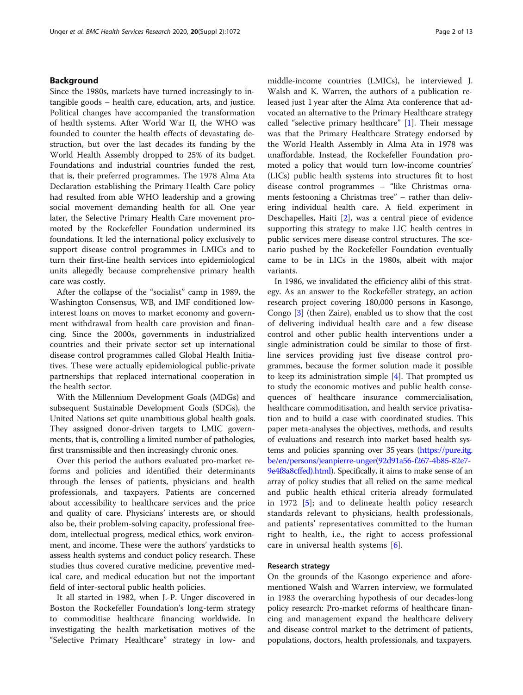# Background

Since the 1980s, markets have turned increasingly to intangible goods – health care, education, arts, and justice. Political changes have accompanied the transformation of health systems. After World War II, the WHO was founded to counter the health effects of devastating destruction, but over the last decades its funding by the World Health Assembly dropped to 25% of its budget. Foundations and industrial countries funded the rest, that is, their preferred programmes. The 1978 Alma Ata Declaration establishing the Primary Health Care policy had resulted from able WHO leadership and a growing social movement demanding health for all. One year later, the Selective Primary Health Care movement promoted by the Rockefeller Foundation undermined its foundations. It led the international policy exclusively to support disease control programmes in LMICs and to turn their first-line health services into epidemiological units allegedly because comprehensive primary health care was costly.

After the collapse of the "socialist" camp in 1989, the Washington Consensus, WB, and IMF conditioned lowinterest loans on moves to market economy and government withdrawal from health care provision and financing. Since the 2000s, governments in industrialized countries and their private sector set up international disease control programmes called Global Health Initiatives. These were actually epidemiological public-private partnerships that replaced international cooperation in the health sector.

With the Millennium Development Goals (MDGs) and subsequent Sustainable Development Goals (SDGs), the United Nations set quite unambitious global health goals. They assigned donor-driven targets to LMIC governments, that is, controlling a limited number of pathologies, first transmissible and then increasingly chronic ones.

Over this period the authors evaluated pro-market reforms and policies and identified their determinants through the lenses of patients, physicians and health professionals, and taxpayers. Patients are concerned about accessibility to healthcare services and the price and quality of care. Physicians' interests are, or should also be, their problem-solving capacity, professional freedom, intellectual progress, medical ethics, work environment, and income. These were the authors' yardsticks to assess health systems and conduct policy research. These studies thus covered curative medicine, preventive medical care, and medical education but not the important field of inter-sectoral public health policies.

It all started in 1982, when J.-P. Unger discovered in Boston the Rockefeller Foundation's long-term strategy to commoditise healthcare financing worldwide. In investigating the health marketisation motives of the "Selective Primary Healthcare" strategy in low- and middle-income countries (LMICs), he interviewed J. Walsh and K. Warren, the authors of a publication released just 1 year after the Alma Ata conference that advocated an alternative to the Primary Healthcare strategy called "selective primary healthcare" [[1\]](#page-11-0). Their message was that the Primary Healthcare Strategy endorsed by the World Health Assembly in Alma Ata in 1978 was unaffordable. Instead, the Rockefeller Foundation promoted a policy that would turn low-income countries' (LICs) public health systems into structures fit to host disease control programmes – "like Christmas ornaments festooning a Christmas tree" – rather than delivering individual health care. A field experiment in Deschapelles, Haiti [\[2](#page-11-0)], was a central piece of evidence supporting this strategy to make LIC health centres in public services mere disease control structures. The scenario pushed by the Rockefeller Foundation eventually came to be in LICs in the 1980s, albeit with major variants.

In 1986, we invalidated the efficiency alibi of this strategy. As an answer to the Rockefeller strategy, an action research project covering 180,000 persons in Kasongo, Congo [\[3](#page-11-0)] (then Zaire), enabled us to show that the cost of delivering individual health care and a few disease control and other public health interventions under a single administration could be similar to those of firstline services providing just five disease control programmes, because the former solution made it possible to keep its administration simple  $[4]$  $[4]$ . That prompted us to study the economic motives and public health consequences of healthcare insurance commercialisation, healthcare commoditisation, and health service privatisation and to build a case with coordinated studies. This paper meta-analyses the objectives, methods, and results of evaluations and research into market based health systems and policies spanning over 35 years [\(https://pure.itg.](https://pure.itg.be/en/persons/jeanpierre-unger(92d91a56-f267-4b85-82e7-9e4f8a8cffed).html) [be/en/persons/jeanpierre-unger\(92d91a56-f267-4b85-82e7-](https://pure.itg.be/en/persons/jeanpierre-unger(92d91a56-f267-4b85-82e7-9e4f8a8cffed).html) [9e4f8a8cffed\).html\)](https://pure.itg.be/en/persons/jeanpierre-unger(92d91a56-f267-4b85-82e7-9e4f8a8cffed).html). Specifically, it aims to make sense of an array of policy studies that all relied on the same medical and public health ethical criteria already formulated in 1972 [[5\]](#page-11-0); and to delineate health policy research standards relevant to physicians, health professionals, and patients' representatives committed to the human right to health, i.e., the right to access professional care in universal health systems [\[6](#page-11-0)].

## Research strategy

On the grounds of the Kasongo experience and aforementioned Walsh and Warren interview, we formulated in 1983 the overarching hypothesis of our decades-long policy research: Pro-market reforms of healthcare financing and management expand the healthcare delivery and disease control market to the detriment of patients, populations, doctors, health professionals, and taxpayers.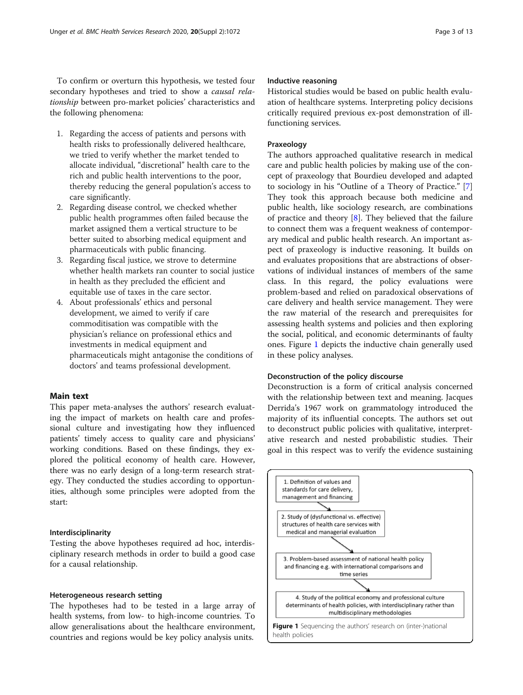To confirm or overturn this hypothesis, we tested four secondary hypotheses and tried to show a causal relationship between pro-market policies' characteristics and the following phenomena:

- 1. Regarding the access of patients and persons with health risks to professionally delivered healthcare, we tried to verify whether the market tended to allocate individual, "discretional" health care to the rich and public health interventions to the poor, thereby reducing the general population's access to care significantly.
- 2. Regarding disease control, we checked whether public health programmes often failed because the market assigned them a vertical structure to be better suited to absorbing medical equipment and pharmaceuticals with public financing.
- 3. Regarding fiscal justice, we strove to determine whether health markets ran counter to social justice in health as they precluded the efficient and equitable use of taxes in the care sector.
- 4. About professionals' ethics and personal development, we aimed to verify if care commoditisation was compatible with the physician's reliance on professional ethics and investments in medical equipment and pharmaceuticals might antagonise the conditions of doctors' and teams professional development.

# Main text

This paper meta-analyses the authors' research evaluating the impact of markets on health care and professional culture and investigating how they influenced patients' timely access to quality care and physicians' working conditions. Based on these findings, they explored the political economy of health care. However, there was no early design of a long-term research strategy. They conducted the studies according to opportunities, although some principles were adopted from the start:

## Interdisciplinarity

Testing the above hypotheses required ad hoc, interdisciplinary research methods in order to build a good case for a causal relationship.

## Heterogeneous research setting

The hypotheses had to be tested in a large array of health systems, from low- to high-income countries. To allow generalisations about the healthcare environment, countries and regions would be key policy analysis units.

# Inductive reasoning

Historical studies would be based on public health evaluation of healthcare systems. Interpreting policy decisions critically required previous ex-post demonstration of illfunctioning services.

# Praxeology

The authors approached qualitative research in medical care and public health policies by making use of the concept of praxeology that Bourdieu developed and adapted to sociology in his "Outline of a Theory of Practice." [\[7](#page-11-0)] They took this approach because both medicine and public health, like sociology research, are combinations of practice and theory [[8\]](#page-11-0). They believed that the failure to connect them was a frequent weakness of contemporary medical and public health research. An important aspect of praxeology is inductive reasoning. It builds on and evaluates propositions that are abstractions of observations of individual instances of members of the same class. In this regard, the policy evaluations were problem-based and relied on paradoxical observations of care delivery and health service management. They were the raw material of the research and prerequisites for assessing health systems and policies and then exploring the social, political, and economic determinants of faulty ones. Figure 1 depicts the inductive chain generally used in these policy analyses.

## Deconstruction of the policy discourse

Deconstruction is a form of critical analysis concerned with the relationship between text and meaning. Jacques Derrida's 1967 work on grammatology introduced the majority of its influential concepts. The authors set out to deconstruct public policies with qualitative, interpretative research and nested probabilistic studies. Their goal in this respect was to verify the evidence sustaining

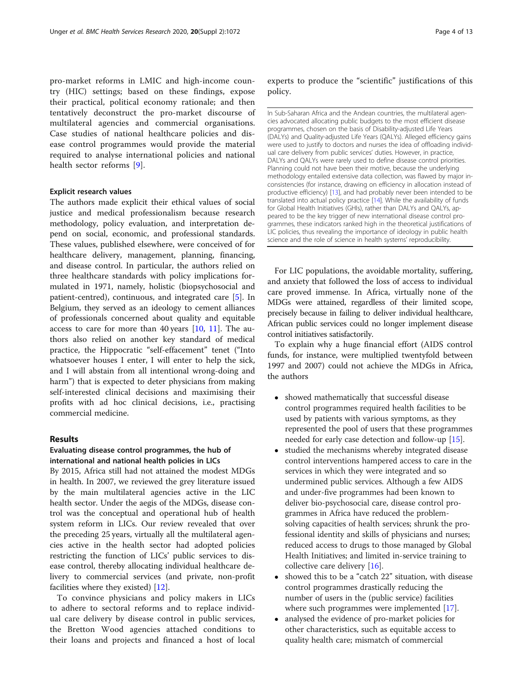pro-market reforms in LMIC and high-income country (HIC) settings; based on these findings, expose their practical, political economy rationale; and then tentatively deconstruct the pro-market discourse of multilateral agencies and commercial organisations. Case studies of national healthcare policies and disease control programmes would provide the material required to analyse international policies and national health sector reforms [[9\]](#page-11-0).

## Explicit research values

The authors made explicit their ethical values of social justice and medical professionalism because research methodology, policy evaluation, and interpretation depend on social, economic, and professional standards. These values, published elsewhere, were conceived of for healthcare delivery, management, planning, financing, and disease control. In particular, the authors relied on three healthcare standards with policy implications formulated in 1971, namely, holistic (biopsychosocial and patient-centred), continuous, and integrated care [[5\]](#page-11-0). In Belgium, they served as an ideology to cement alliances of professionals concerned about quality and equitable access to care for more than 40 years  $[10, 11]$  $[10, 11]$  $[10, 11]$  $[10, 11]$ . The authors also relied on another key standard of medical practice, the Hippocratic "self-effacement" tenet ("Into whatsoever houses I enter, I will enter to help the sick, and I will abstain from all intentional wrong-doing and harm") that is expected to deter physicians from making self-interested clinical decisions and maximising their profits with ad hoc clinical decisions, i.e., practising commercial medicine.

## Results

# Evaluating disease control programmes, the hub of international and national health policies in LICs

By 2015, Africa still had not attained the modest MDGs in health. In 2007, we reviewed the grey literature issued by the main multilateral agencies active in the LIC health sector. Under the aegis of the MDGs, disease control was the conceptual and operational hub of health system reform in LICs. Our review revealed that over the preceding 25 years, virtually all the multilateral agencies active in the health sector had adopted policies restricting the function of LICs' public services to disease control, thereby allocating individual healthcare delivery to commercial services (and private, non-profit facilities where they existed) [\[12](#page-11-0)].

To convince physicians and policy makers in LICs to adhere to sectoral reforms and to replace individual care delivery by disease control in public services, the Bretton Wood agencies attached conditions to their loans and projects and financed a host of local experts to produce the "scientific" justifications of this policy.

In Sub-Saharan Africa and the Andean countries, the multilateral agencies advocated allocating public budgets to the most efficient disease programmes, chosen on the basis of Disability-adjusted Life Years (DALYs) and Quality-adjusted Life Years (QALYs). Alleged efficiency gains were used to justify to doctors and nurses the idea of offloading individual care delivery from public services' duties. However, in practice, DALYs and QALYs were rarely used to define disease control priorities. Planning could not have been their motive, because the underlying methodology entailed extensive data collection, was flawed by major inconsistencies (for instance, drawing on efficiency in allocation instead of productive efficiency) [[13](#page-11-0)], and had probably never been intended to be translated into actual policy practice [\[14](#page-11-0)]. While the availability of funds for Global Health Initiatives (GHIs), rather than DALYs and QALYs, appeared to be the key trigger of new international disease control programmes, these indicators ranked high in the theoretical justifications of LIC policies, thus revealing the importance of ideology in public health science and the role of science in health systems' reproducibility.

For LIC populations, the avoidable mortality, suffering, and anxiety that followed the loss of access to individual care proved immense. In Africa, virtually none of the MDGs were attained, regardless of their limited scope, precisely because in failing to deliver individual healthcare, African public services could no longer implement disease control initiatives satisfactorily.

To explain why a huge financial effort (AIDS control funds, for instance, were multiplied twentyfold between 1997 and 2007) could not achieve the MDGs in Africa, the authors

- showed mathematically that successful disease control programmes required health facilities to be used by patients with various symptoms, as they represented the pool of users that these programmes needed for early case detection and follow-up [[15](#page-11-0)].
- studied the mechanisms whereby integrated disease control interventions hampered access to care in the services in which they were integrated and so undermined public services. Although a few AIDS and under-five programmes had been known to deliver bio-psychosocial care, disease control programmes in Africa have reduced the problemsolving capacities of health services; shrunk the professional identity and skills of physicians and nurses; reduced access to drugs to those managed by Global Health Initiatives; and limited in-service training to collective care delivery [\[16\]](#page-11-0).
- showed this to be a "catch 22" situation, with disease control programmes drastically reducing the number of users in the (public service) facilities where such programmes were implemented [[17\]](#page-11-0).
- analysed the evidence of pro-market policies for other characteristics, such as equitable access to quality health care; mismatch of commercial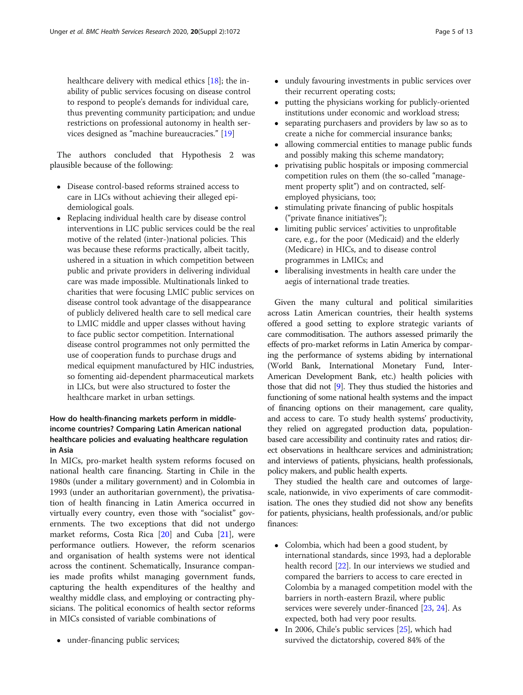healthcare delivery with medical ethics [\[18](#page-11-0)]; the inability of public services focusing on disease control to respond to people's demands for individual care, thus preventing community participation; and undue restrictions on professional autonomy in health services designed as "machine bureaucracies." [[19](#page-11-0)]

The authors concluded that Hypothesis 2 was plausible because of the following:

- Disease control-based reforms strained access to care in LICs without achieving their alleged epidemiological goals.
- Replacing individual health care by disease control interventions in LIC public services could be the real motive of the related (inter-)national policies. This was because these reforms practically, albeit tacitly, ushered in a situation in which competition between public and private providers in delivering individual care was made impossible. Multinationals linked to charities that were focusing LMIC public services on disease control took advantage of the disappearance of publicly delivered health care to sell medical care to LMIC middle and upper classes without having to face public sector competition. International disease control programmes not only permitted the use of cooperation funds to purchase drugs and medical equipment manufactured by HIC industries, so fomenting aid-dependent pharmaceutical markets in LICs, but were also structured to foster the healthcare market in urban settings.

# How do health-financing markets perform in middleincome countries? Comparing Latin American national healthcare policies and evaluating healthcare regulation in Asia

In MICs, pro-market health system reforms focused on national health care financing. Starting in Chile in the 1980s (under a military government) and in Colombia in 1993 (under an authoritarian government), the privatisation of health financing in Latin America occurred in virtually every country, even those with "socialist" governments. The two exceptions that did not undergo market reforms, Costa Rica [\[20\]](#page-11-0) and Cuba [\[21\]](#page-11-0), were performance outliers. However, the reform scenarios and organisation of health systems were not identical across the continent. Schematically, Insurance companies made profits whilst managing government funds, capturing the health expenditures of the healthy and wealthy middle class, and employing or contracting physicians. The political economics of health sector reforms in MICs consisted of variable combinations of

• under-financing public services;

- unduly favouring investments in public services over their recurrent operating costs;
- putting the physicians working for publicly-oriented institutions under economic and workload stress;
- separating purchasers and providers by law so as to create a niche for commercial insurance banks;
- allowing commercial entities to manage public funds and possibly making this scheme mandatory;
- privatising public hospitals or imposing commercial competition rules on them (the so-called "management property split") and on contracted, selfemployed physicians, too;
- stimulating private financing of public hospitals ("private finance initiatives");
- limiting public services' activities to unprofitable care, e.g., for the poor (Medicaid) and the elderly (Medicare) in HICs, and to disease control programmes in LMICs; and
- liberalising investments in health care under the aegis of international trade treaties.

Given the many cultural and political similarities across Latin American countries, their health systems offered a good setting to explore strategic variants of care commoditisation. The authors assessed primarily the effects of pro-market reforms in Latin America by comparing the performance of systems abiding by international (World Bank, International Monetary Fund, Inter-American Development Bank, etc.) health policies with those that did not [\[9](#page-11-0)]. They thus studied the histories and functioning of some national health systems and the impact of financing options on their management, care quality, and access to care. To study health systems' productivity, they relied on aggregated production data, populationbased care accessibility and continuity rates and ratios; direct observations in healthcare services and administration; and interviews of patients, physicians, health professionals, policy makers, and public health experts.

They studied the health care and outcomes of largescale, nationwide, in vivo experiments of care commoditisation. The ones they studied did not show any benefits for patients, physicians, health professionals, and/or public finances:

- Colombia, which had been a good student, by international standards, since 1993, had a deplorable health record [[22](#page-11-0)]. In our interviews we studied and compared the barriers to access to care erected in Colombia by a managed competition model with the barriers in north-eastern Brazil, where public services were severely under-financed [[23](#page-11-0), [24\]](#page-11-0). As expected, both had very poor results.
- In 2006, Chile's public services  $[25]$  $[25]$  $[25]$ , which had survived the dictatorship, covered 84% of the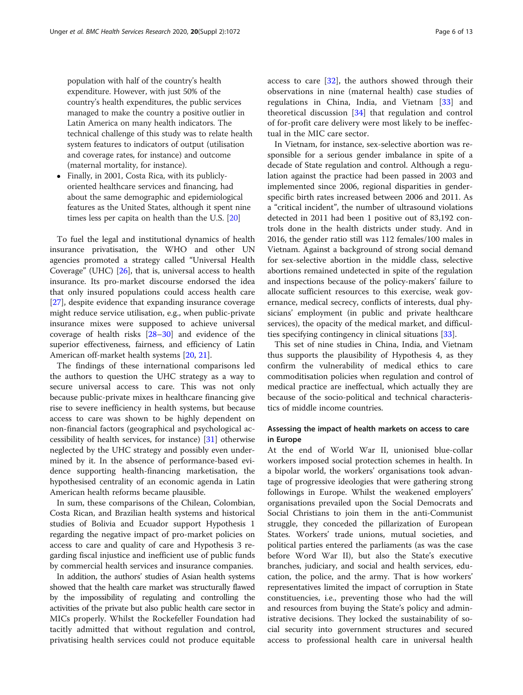population with half of the country's health expenditure. However, with just 50% of the country's health expenditures, the public services managed to make the country a positive outlier in Latin America on many health indicators. The technical challenge of this study was to relate health system features to indicators of output (utilisation and coverage rates, for instance) and outcome (maternal mortality, for instance).

 Finally, in 2001, Costa Rica, with its publiclyoriented healthcare services and financing, had about the same demographic and epidemiological features as the United States, although it spent nine times less per capita on health than the U.S. [\[20\]](#page-11-0)

To fuel the legal and institutional dynamics of health insurance privatisation, the WHO and other UN agencies promoted a strategy called "Universal Health Coverage" (UHC) [[26](#page-12-0)], that is, universal access to health insurance. Its pro-market discourse endorsed the idea that only insured populations could access health care [[27\]](#page-12-0), despite evidence that expanding insurance coverage might reduce service utilisation, e.g., when public-private insurance mixes were supposed to achieve universal coverage of health risks [[28](#page-12-0)–[30\]](#page-12-0) and evidence of the superior effectiveness, fairness, and efficiency of Latin American off-market health systems [\[20](#page-11-0), [21](#page-11-0)].

The findings of these international comparisons led the authors to question the UHC strategy as a way to secure universal access to care. This was not only because public-private mixes in healthcare financing give rise to severe inefficiency in health systems, but because access to care was shown to be highly dependent on non-financial factors (geographical and psychological accessibility of health services, for instance) [[31\]](#page-12-0) otherwise neglected by the UHC strategy and possibly even undermined by it. In the absence of performance-based evidence supporting health-financing marketisation, the hypothesised centrality of an economic agenda in Latin American health reforms became plausible.

In sum, these comparisons of the Chilean, Colombian, Costa Rican, and Brazilian health systems and historical studies of Bolivia and Ecuador support Hypothesis 1 regarding the negative impact of pro-market policies on access to care and quality of care and Hypothesis 3 regarding fiscal injustice and inefficient use of public funds by commercial health services and insurance companies.

In addition, the authors' studies of Asian health systems showed that the health care market was structurally flawed by the impossibility of regulating and controlling the activities of the private but also public health care sector in MICs properly. Whilst the Rockefeller Foundation had tacitly admitted that without regulation and control, privatising health services could not produce equitable access to care [[32\]](#page-12-0), the authors showed through their observations in nine (maternal health) case studies of regulations in China, India, and Vietnam [\[33](#page-12-0)] and theoretical discussion [[34\]](#page-12-0) that regulation and control of for-profit care delivery were most likely to be ineffectual in the MIC care sector.

In Vietnam, for instance, sex-selective abortion was responsible for a serious gender imbalance in spite of a decade of State regulation and control. Although a regulation against the practice had been passed in 2003 and implemented since 2006, regional disparities in genderspecific birth rates increased between 2006 and 2011. As a "critical incident", the number of ultrasound violations detected in 2011 had been 1 positive out of 83,192 controls done in the health districts under study. And in 2016, the gender ratio still was 112 females/100 males in Vietnam. Against a background of strong social demand for sex-selective abortion in the middle class, selective abortions remained undetected in spite of the regulation and inspections because of the policy-makers' failure to allocate sufficient resources to this exercise, weak governance, medical secrecy, conflicts of interests, dual physicians' employment (in public and private healthcare services), the opacity of the medical market, and difficulties specifying contingency in clinical situations [\[33\]](#page-12-0).

This set of nine studies in China, India, and Vietnam thus supports the plausibility of Hypothesis 4, as they confirm the vulnerability of medical ethics to care commoditisation policies when regulation and control of medical practice are ineffectual, which actually they are because of the socio-political and technical characteristics of middle income countries.

# Assessing the impact of health markets on access to care in Europe

At the end of World War II, unionised blue-collar workers imposed social protection schemes in health. In a bipolar world, the workers' organisations took advantage of progressive ideologies that were gathering strong followings in Europe. Whilst the weakened employers' organisations prevailed upon the Social Democrats and Social Christians to join them in the anti-Communist struggle, they conceded the pillarization of European States. Workers' trade unions, mutual societies, and political parties entered the parliaments (as was the case before Word War II), but also the State's executive branches, judiciary, and social and health services, education, the police, and the army. That is how workers' representatives limited the impact of corruption in State constituencies, i.e., preventing those who had the will and resources from buying the State's policy and administrative decisions. They locked the sustainability of social security into government structures and secured access to professional health care in universal health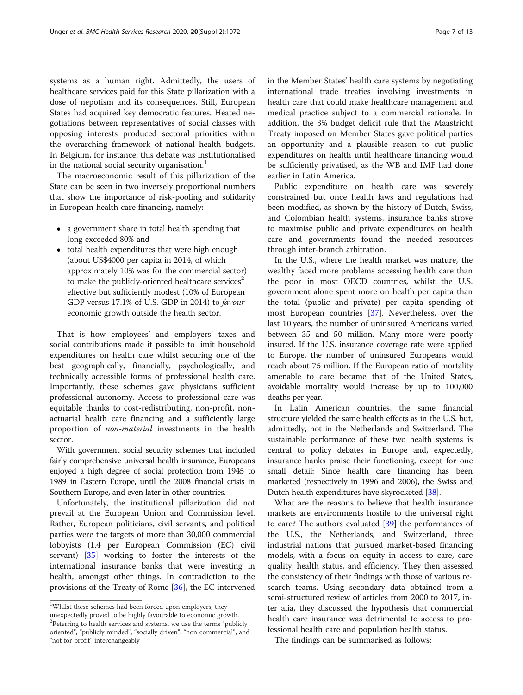systems as a human right. Admittedly, the users of healthcare services paid for this State pillarization with a dose of nepotism and its consequences. Still, European States had acquired key democratic features. Heated negotiations between representatives of social classes with opposing interests produced sectoral priorities within the overarching framework of national health budgets. In Belgium, for instance, this debate was institutionalised in the national social security organisation.<sup>1</sup>

The macroeconomic result of this pillarization of the State can be seen in two inversely proportional numbers that show the importance of risk-pooling and solidarity in European health care financing, namely:

- a government share in total health spending that long exceeded 80% and
- total health expenditures that were high enough (about US\$4000 per capita in 2014, of which approximately 10% was for the commercial sector) to make the publicly-oriented healthcare services<sup>2</sup> effective but sufficiently modest (10% of European GDP versus 17.1% of U.S. GDP in 2014) to favour economic growth outside the health sector.

That is how employees' and employers' taxes and social contributions made it possible to limit household expenditures on health care whilst securing one of the best geographically, financially, psychologically, and technically accessible forms of professional health care. Importantly, these schemes gave physicians sufficient professional autonomy. Access to professional care was equitable thanks to cost-redistributing, non-profit, nonactuarial health care financing and a sufficiently large proportion of non-material investments in the health sector.

With government social security schemes that included fairly comprehensive universal health insurance, Europeans enjoyed a high degree of social protection from 1945 to 1989 in Eastern Europe, until the 2008 financial crisis in Southern Europe, and even later in other countries.

Unfortunately, the institutional pillarization did not prevail at the European Union and Commission level. Rather, European politicians, civil servants, and political parties were the targets of more than 30,000 commercial lobbyists (1.4 per European Commission (EC) civil servant) [[35\]](#page-12-0) working to foster the interests of the international insurance banks that were investing in health, amongst other things. In contradiction to the provisions of the Treaty of Rome [\[36](#page-12-0)], the EC intervened

in the Member States' health care systems by negotiating international trade treaties involving investments in health care that could make healthcare management and medical practice subject to a commercial rationale. In addition, the 3% budget deficit rule that the Maastricht Treaty imposed on Member States gave political parties an opportunity and a plausible reason to cut public expenditures on health until healthcare financing would be sufficiently privatised, as the WB and IMF had done earlier in Latin America.

Public expenditure on health care was severely constrained but once health laws and regulations had been modified, as shown by the history of Dutch, Swiss, and Colombian health systems, insurance banks strove to maximise public and private expenditures on health care and governments found the needed resources through inter-branch arbitration.

In the U.S., where the health market was mature, the wealthy faced more problems accessing health care than the poor in most OECD countries, whilst the U.S. government alone spent more on health per capita than the total (public and private) per capita spending of most European countries [[37\]](#page-12-0). Nevertheless, over the last 10 years, the number of uninsured Americans varied between 35 and 50 million. Many more were poorly insured. If the U.S. insurance coverage rate were applied to Europe, the number of uninsured Europeans would reach about 75 million. If the European ratio of mortality amenable to care became that of the United States, avoidable mortality would increase by up to 100,000 deaths per year.

In Latin American countries, the same financial structure yielded the same health effects as in the U.S. but, admittedly, not in the Netherlands and Switzerland. The sustainable performance of these two health systems is central to policy debates in Europe and, expectedly, insurance banks praise their functioning, except for one small detail: Since health care financing has been marketed (respectively in 1996 and 2006), the Swiss and Dutch health expenditures have skyrocketed [\[38](#page-12-0)].

What are the reasons to believe that health insurance markets are environments hostile to the universal right to care? The authors evaluated [\[39\]](#page-12-0) the performances of the U.S., the Netherlands, and Switzerland, three industrial nations that pursued market-based financing models, with a focus on equity in access to care, care quality, health status, and efficiency. They then assessed the consistency of their findings with those of various research teams. Using secondary data obtained from a semi-structured review of articles from 2000 to 2017, inter alia, they discussed the hypothesis that commercial health care insurance was detrimental to access to professional health care and population health status.

The findings can be summarised as follows:

<sup>&</sup>lt;sup>1</sup>Whilst these schemes had been forced upon employers, they unexpectedly proved to be highly favourable to economic growth. <sup>2</sup>Referring to health services and systems, we use the terms "publicly oriented", "publicly minded", "socially driven", "non commercial", and "not for profit" interchangeably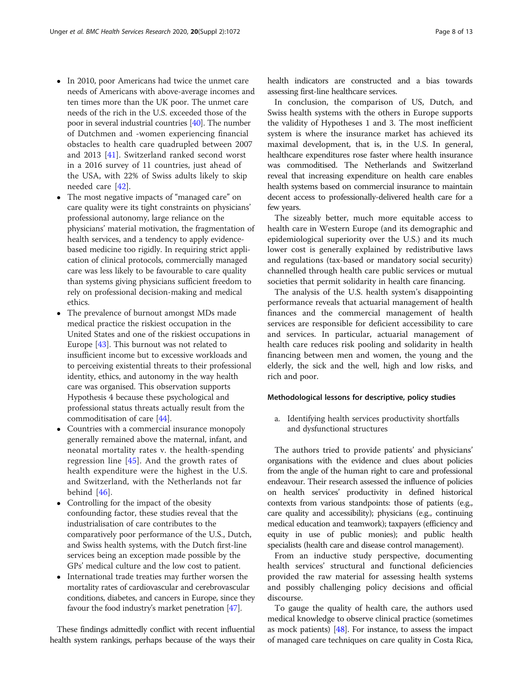- In 2010, poor Americans had twice the unmet care needs of Americans with above-average incomes and ten times more than the UK poor. The unmet care needs of the rich in the U.S. exceeded those of the poor in several industrial countries [\[40](#page-12-0)]. The number of Dutchmen and -women experiencing financial obstacles to health care quadrupled between 2007 and 2013 [\[41](#page-12-0)]. Switzerland ranked second worst in a 2016 survey of 11 countries, just ahead of the USA, with 22% of Swiss adults likely to skip needed care [[42\]](#page-12-0).
- The most negative impacts of "managed care" on care quality were its tight constraints on physicians' professional autonomy, large reliance on the physicians' material motivation, the fragmentation of health services, and a tendency to apply evidencebased medicine too rigidly. In requiring strict application of clinical protocols, commercially managed care was less likely to be favourable to care quality than systems giving physicians sufficient freedom to rely on professional decision-making and medical ethics.
- The prevalence of burnout amongst MDs made medical practice the riskiest occupation in the United States and one of the riskiest occupations in Europe [[43](#page-12-0)]. This burnout was not related to insufficient income but to excessive workloads and to perceiving existential threats to their professional identity, ethics, and autonomy in the way health care was organised. This observation supports Hypothesis 4 because these psychological and professional status threats actually result from the commoditisation of care [[44](#page-12-0)].
- Countries with a commercial insurance monopoly generally remained above the maternal, infant, and neonatal mortality rates v. the health-spending regression line [[45\]](#page-12-0). And the growth rates of health expenditure were the highest in the U.S. and Switzerland, with the Netherlands not far behind [[46\]](#page-12-0).
- Controlling for the impact of the obesity confounding factor, these studies reveal that the industrialisation of care contributes to the comparatively poor performance of the U.S., Dutch, and Swiss health systems, with the Dutch first-line services being an exception made possible by the GPs' medical culture and the low cost to patient.
- International trade treaties may further worsen the mortality rates of cardiovascular and cerebrovascular conditions, diabetes, and cancers in Europe, since they favour the food industry's market penetration [\[47](#page-12-0)].

These findings admittedly conflict with recent influential health system rankings, perhaps because of the ways their health indicators are constructed and a bias towards assessing first-line healthcare services.

In conclusion, the comparison of US, Dutch, and Swiss health systems with the others in Europe supports the validity of Hypotheses 1 and 3. The most inefficient system is where the insurance market has achieved its maximal development, that is, in the U.S. In general, healthcare expenditures rose faster where health insurance was commoditised. The Netherlands and Switzerland reveal that increasing expenditure on health care enables health systems based on commercial insurance to maintain decent access to professionally-delivered health care for a few years.

The sizeably better, much more equitable access to health care in Western Europe (and its demographic and epidemiological superiority over the U.S.) and its much lower cost is generally explained by redistributive laws and regulations (tax-based or mandatory social security) channelled through health care public services or mutual societies that permit solidarity in health care financing.

The analysis of the U.S. health system's disappointing performance reveals that actuarial management of health finances and the commercial management of health services are responsible for deficient accessibility to care and services. In particular, actuarial management of health care reduces risk pooling and solidarity in health financing between men and women, the young and the elderly, the sick and the well, high and low risks, and rich and poor.

## Methodological lessons for descriptive, policy studies

a. Identifying health services productivity shortfalls and dysfunctional structures

The authors tried to provide patients' and physicians' organisations with the evidence and clues about policies from the angle of the human right to care and professional endeavour. Their research assessed the influence of policies on health services' productivity in defined historical contexts from various standpoints: those of patients (e.g., care quality and accessibility); physicians (e.g., continuing medical education and teamwork); taxpayers (efficiency and equity in use of public monies); and public health specialists (health care and disease control management).

From an inductive study perspective, documenting health services' structural and functional deficiencies provided the raw material for assessing health systems and possibly challenging policy decisions and official discourse.

To gauge the quality of health care, the authors used medical knowledge to observe clinical practice (sometimes as mock patients)  $[48]$  $[48]$ . For instance, to assess the impact of managed care techniques on care quality in Costa Rica,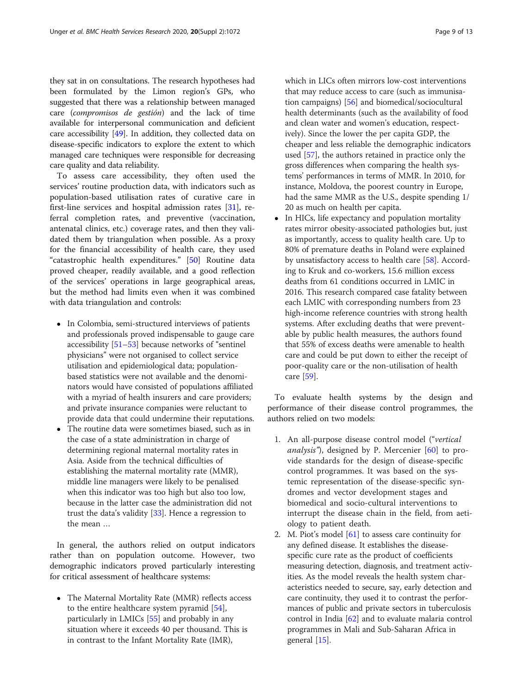they sat in on consultations. The research hypotheses had been formulated by the Limon region's GPs, who suggested that there was a relationship between managed care (compromisos de gestión) and the lack of time available for interpersonal communication and deficient care accessibility [[49](#page-12-0)]. In addition, they collected data on disease-specific indicators to explore the extent to which managed care techniques were responsible for decreasing care quality and data reliability.

To assess care accessibility, they often used the services' routine production data, with indicators such as population-based utilisation rates of curative care in first-line services and hospital admission rates [\[31](#page-12-0)], referral completion rates, and preventive (vaccination, antenatal clinics, etc.) coverage rates, and then they validated them by triangulation when possible. As a proxy for the financial accessibility of health care, they used "catastrophic health expenditures." [[50](#page-12-0)] Routine data proved cheaper, readily available, and a good reflection of the services' operations in large geographical areas, but the method had limits even when it was combined with data triangulation and controls:

- In Colombia, semi-structured interviews of patients and professionals proved indispensable to gauge care accessibility [[51](#page-12-0)–[53](#page-12-0)] because networks of "sentinel physicians" were not organised to collect service utilisation and epidemiological data; populationbased statistics were not available and the denominators would have consisted of populations affiliated with a myriad of health insurers and care providers; and private insurance companies were reluctant to provide data that could undermine their reputations.
- The routine data were sometimes biased, such as in the case of a state administration in charge of determining regional maternal mortality rates in Asia. Aside from the technical difficulties of establishing the maternal mortality rate (MMR), middle line managers were likely to be penalised when this indicator was too high but also too low, because in the latter case the administration did not trust the data's validity [[33](#page-12-0)]. Hence a regression to the mean …

In general, the authors relied on output indicators rather than on population outcome. However, two demographic indicators proved particularly interesting for critical assessment of healthcare systems:

 The Maternal Mortality Rate (MMR) reflects access to the entire healthcare system pyramid [[54](#page-12-0)], particularly in LMICs [\[55\]](#page-12-0) and probably in any situation where it exceeds 40 per thousand. This is in contrast to the Infant Mortality Rate (IMR),

which in LICs often mirrors low-cost interventions that may reduce access to care (such as immunisation campaigns) [\[56\]](#page-12-0) and biomedical/sociocultural health determinants (such as the availability of food and clean water and women's education, respectively). Since the lower the per capita GDP, the cheaper and less reliable the demographic indicators used [\[57\]](#page-12-0), the authors retained in practice only the gross differences when comparing the health systems' performances in terms of MMR. In 2010, for instance, Moldova, the poorest country in Europe, had the same MMR as the U.S., despite spending 1/ 20 as much on health per capita.

• In HICs, life expectancy and population mortality rates mirror obesity-associated pathologies but, just as importantly, access to quality health care. Up to 80% of premature deaths in Poland were explained by unsatisfactory access to health care [[58\]](#page-12-0). According to Kruk and co-workers, 15.6 million excess deaths from 61 conditions occurred in LMIC in 2016. This research compared case fatality between each LMIC with corresponding numbers from 23 high-income reference countries with strong health systems. After excluding deaths that were preventable by public health measures, the authors found that 55% of excess deaths were amenable to health care and could be put down to either the receipt of poor-quality care or the non-utilisation of health care [\[59](#page-12-0)].

To evaluate health systems by the design and performance of their disease control programmes, the authors relied on two models:

- 1. An all-purpose disease control model ("vertical analysis"), designed by P. Mercenier [[60\]](#page-12-0) to provide standards for the design of disease-specific control programmes. It was based on the systemic representation of the disease-specific syndromes and vector development stages and biomedical and socio-cultural interventions to interrupt the disease chain in the field, from aetiology to patient death.
- 2. M. Piot's model [\[61\]](#page-12-0) to assess care continuity for any defined disease. It establishes the diseasespecific cure rate as the product of coefficients measuring detection, diagnosis, and treatment activities. As the model reveals the health system characteristics needed to secure, say, early detection and care continuity, they used it to contrast the performances of public and private sectors in tuberculosis control in India [\[62](#page-12-0)] and to evaluate malaria control programmes in Mali and Sub-Saharan Africa in general [\[15\]](#page-11-0).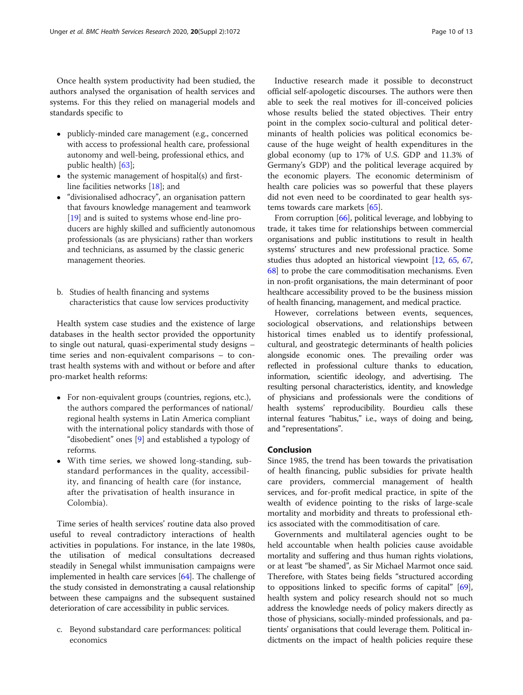Once health system productivity had been studied, the authors analysed the organisation of health services and systems. For this they relied on managerial models and standards specific to

- publicly-minded care management (e.g., concerned with access to professional health care, professional autonomy and well-being, professional ethics, and public health) [\[63](#page-12-0)];
- $\bullet$  the systemic management of hospital(s) and firstline facilities networks [\[18\]](#page-11-0); and
- "divisionalised adhocracy", an organisation pattern that favours knowledge management and teamwork [[19](#page-11-0)] and is suited to systems whose end-line producers are highly skilled and sufficiently autonomous professionals (as are physicians) rather than workers and technicians, as assumed by the classic generic management theories.
- b. Studies of health financing and systems characteristics that cause low services productivity

Health system case studies and the existence of large databases in the health sector provided the opportunity to single out natural, quasi-experimental study designs – time series and non-equivalent comparisons – to contrast health systems with and without or before and after pro-market health reforms:

- For non-equivalent groups (countries, regions, etc.), the authors compared the performances of national/ regional health systems in Latin America compliant with the international policy standards with those of "disobedient" ones [[9\]](#page-11-0) and established a typology of reforms.
- With time series, we showed long-standing, substandard performances in the quality, accessibility, and financing of health care (for instance, after the privatisation of health insurance in Colombia).

Time series of health services' routine data also proved useful to reveal contradictory interactions of health activities in populations. For instance, in the late 1980s, the utilisation of medical consultations decreased steadily in Senegal whilst immunisation campaigns were implemented in health care services [\[64\]](#page-12-0). The challenge of the study consisted in demonstrating a causal relationship between these campaigns and the subsequent sustained deterioration of care accessibility in public services.

c. Beyond substandard care performances: political economics

Inductive research made it possible to deconstruct official self-apologetic discourses. The authors were then able to seek the real motives for ill-conceived policies whose results belied the stated objectives. Their entry point in the complex socio-cultural and political determinants of health policies was political economics because of the huge weight of health expenditures in the global economy (up to 17% of U.S. GDP and 11.3% of Germany's GDP) and the political leverage acquired by the economic players. The economic determinism of health care policies was so powerful that these players did not even need to be coordinated to gear health systems towards care markets [[65\]](#page-12-0).

From corruption [\[66\]](#page-12-0), political leverage, and lobbying to trade, it takes time for relationships between commercial organisations and public institutions to result in health systems' structures and new professional practice. Some studies thus adopted an historical viewpoint [\[12,](#page-11-0) [65,](#page-12-0) [67](#page-12-0), [68](#page-12-0)] to probe the care commoditisation mechanisms. Even in non-profit organisations, the main determinant of poor healthcare accessibility proved to be the business mission of health financing, management, and medical practice.

However, correlations between events, sequences, sociological observations, and relationships between historical times enabled us to identify professional, cultural, and geostrategic determinants of health policies alongside economic ones. The prevailing order was reflected in professional culture thanks to education, information, scientific ideology, and advertising. The resulting personal characteristics, identity, and knowledge of physicians and professionals were the conditions of health systems' reproducibility. Bourdieu calls these internal features "habitus," i.e., ways of doing and being, and "representations".

# Conclusion

Since 1985, the trend has been towards the privatisation of health financing, public subsidies for private health care providers, commercial management of health services, and for-profit medical practice, in spite of the wealth of evidence pointing to the risks of large-scale mortality and morbidity and threats to professional ethics associated with the commoditisation of care.

Governments and multilateral agencies ought to be held accountable when health policies cause avoidable mortality and suffering and thus human rights violations, or at least "be shamed", as Sir Michael Marmot once said. Therefore, with States being fields "structured according to oppositions linked to specific forms of capital" [[69](#page-12-0)], health system and policy research should not so much address the knowledge needs of policy makers directly as those of physicians, socially-minded professionals, and patients' organisations that could leverage them. Political indictments on the impact of health policies require these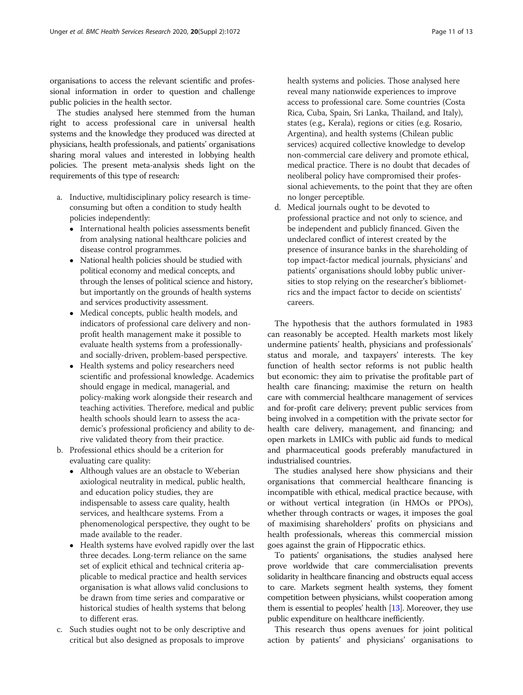organisations to access the relevant scientific and professional information in order to question and challenge public policies in the health sector.

The studies analysed here stemmed from the human right to access professional care in universal health systems and the knowledge they produced was directed at physicians, health professionals, and patients' organisations sharing moral values and interested in lobbying health policies. The present meta-analysis sheds light on the requirements of this type of research:

- a. Inductive, multidisciplinary policy research is timeconsuming but often a condition to study health policies independently:
	- International health policies assessments benefit from analysing national healthcare policies and disease control programmes.
	- National health policies should be studied with political economy and medical concepts, and through the lenses of political science and history, but importantly on the grounds of health systems and services productivity assessment.
	- Medical concepts, public health models, and indicators of professional care delivery and nonprofit health management make it possible to evaluate health systems from a professionallyand socially-driven, problem-based perspective.
	- Health systems and policy researchers need scientific and professional knowledge. Academics should engage in medical, managerial, and policy-making work alongside their research and teaching activities. Therefore, medical and public health schools should learn to assess the academic's professional proficiency and ability to derive validated theory from their practice.
- b. Professional ethics should be a criterion for evaluating care quality:
	- Although values are an obstacle to Weberian axiological neutrality in medical, public health, and education policy studies, they are indispensable to assess care quality, health services, and healthcare systems. From a phenomenological perspective, they ought to be made available to the reader.
	- Health systems have evolved rapidly over the last three decades. Long-term reliance on the same set of explicit ethical and technical criteria applicable to medical practice and health services organisation is what allows valid conclusions to be drawn from time series and comparative or historical studies of health systems that belong to different eras.
- c. Such studies ought not to be only descriptive and critical but also designed as proposals to improve

health systems and policies. Those analysed here reveal many nationwide experiences to improve access to professional care. Some countries (Costa Rica, Cuba, Spain, Sri Lanka, Thailand, and Italy), states (e.g., Kerala), regions or cities (e.g. Rosario, Argentina), and health systems (Chilean public services) acquired collective knowledge to develop non-commercial care delivery and promote ethical, medical practice. There is no doubt that decades of neoliberal policy have compromised their professional achievements, to the point that they are often no longer perceptible.

d. Medical journals ought to be devoted to professional practice and not only to science, and be independent and publicly financed. Given the undeclared conflict of interest created by the presence of insurance banks in the shareholding of top impact-factor medical journals, physicians' and patients' organisations should lobby public universities to stop relying on the researcher's bibliometrics and the impact factor to decide on scientists' careers.

The hypothesis that the authors formulated in 1983 can reasonably be accepted. Health markets most likely undermine patients' health, physicians and professionals' status and morale, and taxpayers' interests. The key function of health sector reforms is not public health but economic: they aim to privatise the profitable part of health care financing; maximise the return on health care with commercial healthcare management of services and for-profit care delivery; prevent public services from being involved in a competition with the private sector for health care delivery, management, and financing; and open markets in LMICs with public aid funds to medical and pharmaceutical goods preferably manufactured in industrialised countries.

The studies analysed here show physicians and their organisations that commercial healthcare financing is incompatible with ethical, medical practice because, with or without vertical integration (in HMOs or PPOs), whether through contracts or wages, it imposes the goal of maximising shareholders' profits on physicians and health professionals, whereas this commercial mission goes against the grain of Hippocratic ethics.

To patients' organisations, the studies analysed here prove worldwide that care commercialisation prevents solidarity in healthcare financing and obstructs equal access to care. Markets segment health systems, they foment competition between physicians, whilst cooperation among them is essential to peoples' health [\[13](#page-11-0)]. Moreover, they use public expenditure on healthcare inefficiently.

This research thus opens avenues for joint political action by patients' and physicians' organisations to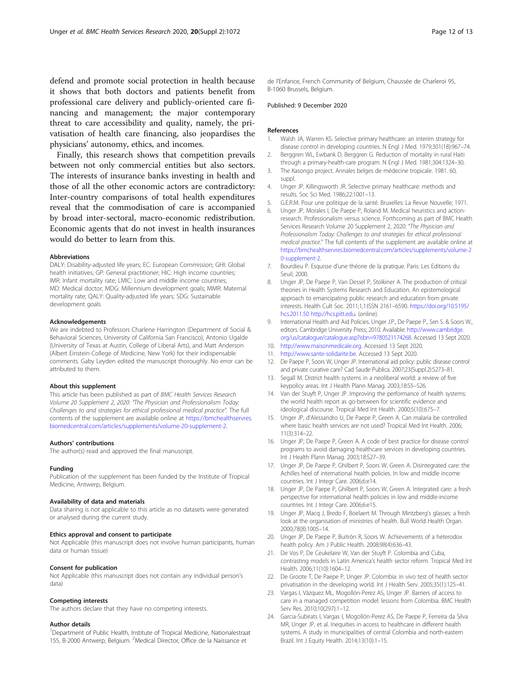<span id="page-11-0"></span>defend and promote social protection in health because it shows that both doctors and patients benefit from professional care delivery and publicly-oriented care financing and management; the major contemporary threat to care accessibility and quality, namely, the privatisation of health care financing, also jeopardises the physicians' autonomy, ethics, and incomes.

Finally, this research shows that competition prevails between not only commercial entities but also sectors. The interests of insurance banks investing in health and those of all the other economic actors are contradictory: Inter-country comparisons of total health expenditures reveal that the commodisation of care is accompanied by broad inter-sectoral, macro-economic redistribution. Economic agents that do not invest in health insurances would do better to learn from this.

#### Abbreviations

DALY: Disability-adjusted life years; EC: European Commission; GHI: Global health initiatives; GP: General practitioner; HIC: High income countries; IMR: Infant mortality rate; LMIC: Low and middle income countries; MD: Medical doctor; MDG: Millennium development goals; MMR: Maternal mortality rate; QALY: Quality-adjusted life years; SDG: Sustainable development goals

## Acknowledgements

We are indebted to Professors Charlene Harrington (Department of Social & Behavioral Sciences, University of California San Francisco), Antonio Ugalde (University of Texas at Austin, College of Liberal Arts), and Matt Anderson (Albert Einstein College of Medicine, New York) for their indispensable comments. Gaby Leyden edited the manuscript thoroughly. No error can be attributed to them.

#### About this supplement

This article has been published as part of BMC Health Services Research Volume 20 Supplement 2, 2020: "The Physician and Professionalism Today: Challenges to and strategies for ethical professional medical practice". The full contents of the supplement are available online at [https://bmchealthservres.](https://bmchealthservres.biomedcentral.com/articles/supplements/volume-20-supplement-2) [biomedcentral.com/articles/supplements/volume-20-supplement-2.](https://bmchealthservres.biomedcentral.com/articles/supplements/volume-20-supplement-2)

#### Authors' contributions

The author(s) read and approved the final manuscript.

## Funding

Publication of the supplement has been funded by the Institute of Tropical Medicine, Antwerp, Belgium.

## Availability of data and materials

Data sharing is not applicable to this article as no datasets were generated or analysed during the current study.

## Ethics approval and consent to participate

Not Applicable (this manuscript does not involve human participants, human data or human tissue)

## Consent for publication

Not Applicable (this manuscript does not contain any individual person's data)

#### Competing interests

The authors declare that they have no competing interests.

#### Author details

<sup>1</sup>Department of Public Health, Institute of Tropical Medicine, Nationalestraat 155, B-2000 Antwerp, Belgium. <sup>2</sup>Medical Director, Office de la Naissance et

de l'Enfance, French Community of Belgium, Chaussée de Charleroi 95, B-1060 Brussels, Belgium.

## Published: 9 December 2020

#### References

- 1. Walsh JA, Warren KS. Selective primary healthcare: an interim strategy for disease control in developing countries. N Engl J Med. 1979;301(18):967–74.
- 2. Berggren WL, Ewbank D, Berggren G. Reduction of mortality in rural Haiti through a primary-health-care program. N Engl J Med. 1981;304:1324–30.
- 3. The Kasongo project. Annales belges de médecine tropicale. 1981. 60, suppl.
- 4. Unger JP, Killingsworth JR. Selective primary healthcare: methods and results. Soc Sci Med. 1986;22:1001–13.
- 5. G.E.R.M. Pour une politique de la santé. Bruxelles: La Revue Nouvelle; 1971.
- 6. Unger JP, Morales I, De Paepe P, Roland M. Medical heuristics and actionresearch. Professionalism versus science. Forthcoming as part of BMC Health Services Research Volume 20 Supplement 2, 2020: "The Physician and Professionalism Today: Challenges to and strategies for ethical professional medical practice." The full contents of the supplement are available online at [https://bmchealthservres.biomedcentral.com/articles/supplements/volume-2](https://bmchealthservres.biomedcentral.com/articles/supplements/volume-20-supplement-2) [0-supplement-2.](https://bmchealthservres.biomedcentral.com/articles/supplements/volume-20-supplement-2)
- 7. Bourdieu P. Esquisse d'une théorie de la pratique. Paris: Les Editions du Seuil; 2000.
- Unger JP, De Paepe P, Van Dessel P, Stolkiner A. The production of critical theories in Health Systems Research and Education. An epistemological approach to emancipating public research and education from private interests. Health Cult Soc. 2011;1,1:ISSN 2161–6590. [https://doi.org/10.5195/](https://doi.org/10.5195/hcs.2011.50) [hcs.2011.50](https://doi.org/10.5195/hcs.2011.50) [http://hcs.pitt.edu.](http://hcs.pitt.edu/) (online).
- 9. International Health and Aid Policies. Unger J.P., De Paepe P., Sen S. & Soors W., editors. Cambridge University Press; 2010. Available: [http://www.cambridge.](http://www.cambridge.org/us/catalogue/catalogue.asp?isbn=9780521174268) [org/us/catalogue/catalogue.asp?isbn=9780521174268](http://www.cambridge.org/us/catalogue/catalogue.asp?isbn=9780521174268). Accessed 13 Sept 2020.
- 10. [http://www.maisonmedicale.org.](http://www.maisonmedicale.org/) Accessed 13 Sept 2020.
- 11. [http://www.sante-solidarite.be](http://www.sante-solidarite.be/). Accessed 13 Sept 2020.
- 12. De Paepe P, Soors W, Unger JP. International aid policy: public disease control and private curative care? Cad Saude Publica. 2007;23(Suppl.2):S273–81.
- 13. Segall M. District health systems in a neoliberal world: a review of five keypolicy areas. Int J Health Plann Manag. 2003;18:S5–S26.
- 14. Van der Stuyft P, Unger JP. Improving the performance of health systems: the world health report as go-between for scientific evidence and ideological discourse. Tropical Med Int Health. 2000;5(10):675–7.
- 15. Unger JP, d'Alessandro U, De Paepe P, Green A. Can malaria be controlled where basic health services are not used? Tropical Med Int Health. 2006; 11(3):314–22.
- 16. Unger JP, De Paepe P, Green A. A code of best practice for disease control programs to avoid damaging healthcare services in developing countries. Int J Health Plann Manag. 2003;18:S27–39.
- 17. Unger JP, De Paepe P, Ghilbert P, Soors W, Green A. Disintegrated care: the Achilles heel of international health policies. In low and middle income countries. Int J Integr Care. 2006;6:e14.
- 18. Unger JP, De Paepe P, Ghilbert P, Soors W, Green A. Integrated care: a fresh perspective for international health policies in low and middle-income countries. Int J Integr Care. 2006;6:e15.
- 19. Unger JP, Macq J, Bredo F, Boelaert M. Through Mintzberg's glasses: a fresh look at the organisation of ministries of health. Bull World Health Organ. 2000;78(8):1005–14.
- 20. Unger JP, De Paepe P, Buitrón R, Soors W. Achievements of a heterodox health policy. Am J Public Health. 2008;98(4):636–43.
- 21. De Vos P, De Ceukelaire W, Van der Stuyft P. Colombia and Cuba, contrasting models in Latin America's health sector reform. Tropical Med Int Health. 2006;11(10):1604–12.
- 22. De Groote T, De Paepe P, Unger JP. Colombia: in vivo test of health sector privatisation in the developing world. Int J Health Serv. 2005;35(1):125–41.
- 23. Vargas I, Vázquez ML, Mogollón-Perez AS, Unger JP. Barriers of access to care in a managed competition model: lessons from Colombia. BMC Health Serv Res. 2010;10(297):1–12.
- 24. Garcia-Subirats I, Vargas I, Mogollón-Perez AS, De Paepe P, Ferreira da Silva MR, Unger JP, et al. Inequities in access to healthcare in different health systems. A study in municipalities of central Colombia and north-eastern Brazil. Int J Equity Health. 2014;13(10):1–15.